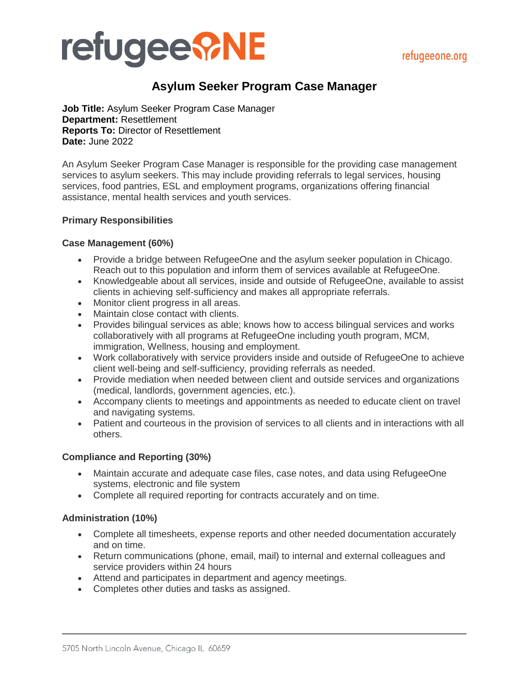# **refugee ?NE**

# **Asylum Seeker Program Case Manager**

**Job Title:** Asylum Seeker Program Case Manager **Department:** Resettlement **Reports To:** Director of Resettlement **Date:** June 2022

An Asylum Seeker Program Case Manager is responsible for the providing case management services to asylum seekers. This may include providing referrals to legal services, housing services, food pantries, ESL and employment programs, organizations offering financial assistance, mental health services and youth services.

## **Primary Responsibilities**

## **Case Management (60%)**

- Provide a bridge between RefugeeOne and the asylum seeker population in Chicago. Reach out to this population and inform them of services available at RefugeeOne.
- Knowledgeable about all services, inside and outside of RefugeeOne, available to assist clients in achieving self-sufficiency and makes all appropriate referrals.
- Monitor client progress in all areas.
- Maintain close contact with clients.
- Provides bilingual services as able; knows how to access bilingual services and works collaboratively with all programs at RefugeeOne including youth program, MCM, immigration, Wellness, housing and employment.
- Work collaboratively with service providers inside and outside of RefugeeOne to achieve client well-being and self-sufficiency, providing referrals as needed.
- Provide mediation when needed between client and outside services and organizations (medical, landlords, government agencies, etc.).
- Accompany clients to meetings and appointments as needed to educate client on travel and navigating systems.
- Patient and courteous in the provision of services to all clients and in interactions with all others.

## **Compliance and Reporting (30%)**

- Maintain accurate and adequate case files, case notes, and data using RefugeeOne systems, electronic and file system
- Complete all required reporting for contracts accurately and on time.

## **Administration (10%)**

- Complete all timesheets, expense reports and other needed documentation accurately and on time.
- Return communications (phone, email, mail) to internal and external colleagues and service providers within 24 hours
- Attend and participates in department and agency meetings.
- Completes other duties and tasks as assigned.